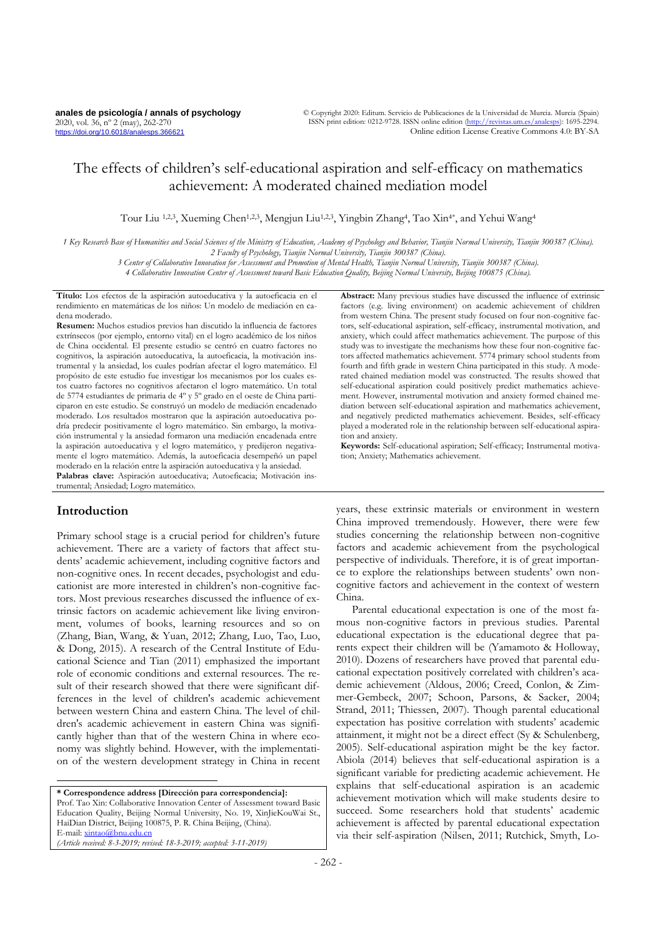# The effects of children's self-educational aspiration and self-efficacy on mathematics achievement: A moderated chained mediation model

Tour Liu 1,2,3, Xueming Chen1,2,3, Mengjun Liu1,2,3, Yingbin Zhang<sup>4</sup> , Tao Xin4\*, and Yehui Wang<sup>4</sup>

*1 Key Research Base of Humanities and Social Sciences of the Ministry of Education, Academy of Psychology and Behavior, Tianjin Normal University, Tianjin 300387 (China). 2 Faculty of Psychology, Tianjin Normal University, Tianjin 300387 (China).*

*3 Center of Collaborative Innovation for Assessment and Promotion of Mental Health, Tianjin Normal University, Tianjin 300387 (China).*

*4 Collaborative Innovation Center of Assessment toward Basic Education Quality, Beijing Normal University, Beijing 100875 (China).*

**Título:** Los efectos de la aspiración autoeducativa y la autoeficacia en el rendimiento en matemáticas de los niños: Un modelo de mediación en cadena moderado.

**Resumen:** Muchos estudios previos han discutido la influencia de factores extrínsecos (por ejemplo, entorno vital) en el logro académico de los niños de China occidental. El presente estudio se centró en cuatro factores no cognitivos, la aspiración autoeducativa, la autoeficacia, la motivación instrumental y la ansiedad, los cuales podrían afectar el logro matemático. El propósito de este estudio fue investigar los mecanismos por los cuales estos cuatro factores no cognitivos afectaron el logro matemático. Un total de 5774 estudiantes de primaria de 4º y 5º grado en el oeste de China participaron en este estudio. Se construyó un modelo de mediación encadenado moderado. Los resultados mostraron que la aspiración autoeducativa podría predecir positivamente el logro matemático. Sin embargo, la motivación instrumental y la ansiedad formaron una mediación encadenada entre la aspiración autoeducativa y el logro matemático, y predijeron negativamente el logro matemático. Además, la autoeficacia desempeñó un papel moderado en la relación entre la aspiración autoeducativa y la ansiedad. **Palabras clave:** Aspiración autoeducativa; Autoeficacia; Motivación instrumental; Ansiedad; Logro matemático.

# **Introduction**

Primary school stage is a crucial period for children's future achievement. There are a variety of factors that affect students' academic achievement, including cognitive factors and non-cognitive ones. In recent decades, psychologist and educationist are more interested in children's non-cognitive factors. Most previous researches discussed the influence of extrinsic factors on academic achievement like living environment, volumes of books, learning resources and so on (Zhang, Bian, Wang, & Yuan, 2012; Zhang, Luo, Tao, Luo, & Dong, 2015). A research of the Central Institute of Educational Science and Tian (2011) emphasized the important role of economic conditions and external resources. The result of their research showed that there were significant differences in the level of children's academic achievement between western China and eastern China. The level of children's academic achievement in eastern China was significantly higher than that of the western China in where economy was slightly behind. However, with the implementation of the western development strategy in China in recent

**\* Correspondence address [Dirección para correspondencia]:** Prof. Tao Xin: Collaborative Innovation Center of Assessment toward Basic Education Quality, Beijing Normal University, No. 19, XinJieKouWai St., HaiDian District, Beijing 100875, P. R. China Beijing, (China). E-mail[: xintao@bnu.edu.cn](mailto:xintao@bnu.edu.cn) *(Article received: 8-3-2019; revised: 18-3-2019; accepted: 3-11-2019)*

**Abstract:** Many previous studies have discussed the influence of extrinsic factors (e.g. living environment) on academic achievement of children from western China. The present study focused on four non-cognitive factors, self-educational aspiration, self-efficacy, instrumental motivation, and anxiety, which could affect mathematics achievement. The purpose of this study was to investigate the mechanisms how these four non-cognitive factors affected mathematics achievement. 5774 primary school students from fourth and fifth grade in western China participated in this study. A moderated chained mediation model was constructed. The results showed that self-educational aspiration could positively predict mathematics achievement. However, instrumental motivation and anxiety formed chained mediation between self-educational aspiration and mathematics achievement, and negatively predicted mathematics achievement. Besides, self-efficacy played a moderated role in the relationship between self-educational aspiration and anxiety.

**Keywords:** Self-educational aspiration; Self-efficacy; Instrumental motivation; Anxiety; Mathematics achievement.

years, these extrinsic materials or environment in western China improved tremendously. However, there were few studies concerning the relationship between non-cognitive factors and academic achievement from the psychological perspective of individuals. Therefore, it is of great importance to explore the relationships between students' own noncognitive factors and achievement in the context of western China.

Parental educational expectation is one of the most famous non-cognitive factors in previous studies. Parental educational expectation is the educational degree that parents expect their children will be (Yamamoto & Holloway, 2010). Dozens of researchers have proved that parental educational expectation positively correlated with children's academic achievement (Aldous, 2006; Creed, Conlon, & Zimmer-Gembeck, 2007; Schoon, Parsons, & Sacker, 2004; Strand, 2011; Thiessen, 2007). Though parental educational expectation has positive correlation with students' academic attainment, it might not be a direct effect (Sy & Schulenberg, 2005). Self-educational aspiration might be the key factor. Abiola (2014) believes that self-educational aspiration is a significant variable for predicting academic achievement. He explains that self-educational aspiration is an academic achievement motivation which will make students desire to succeed. Some researchers hold that students' academic achievement is affected by parental educational expectation via their self-aspiration (Nilsen, 2011; Rutchick, Smyth, Lo-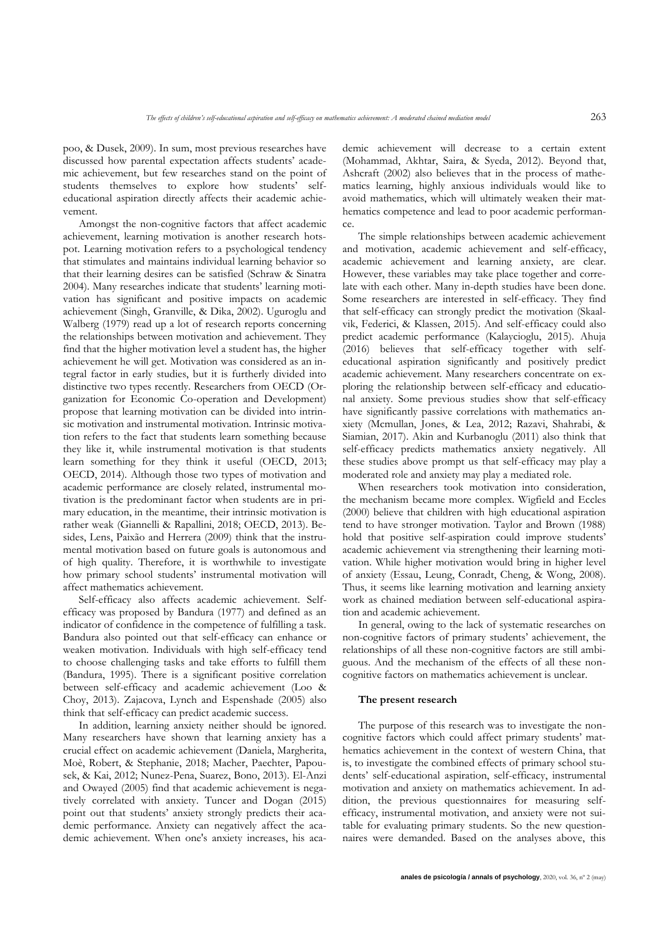poo, & Dusek, 2009). In sum, most previous researches have discussed how parental expectation affects students' academic achievement, but few researches stand on the point of students themselves to explore how students' selfeducational aspiration directly affects their academic achievement.

Amongst the non-cognitive factors that affect academic achievement, learning motivation is another research hotspot. Learning motivation refers to a psychological tendency that stimulates and maintains individual learning behavior so that their learning desires can be satisfied (Schraw & Sinatra 2004). Many researches indicate that students' learning motivation has significant and positive impacts on academic achievement (Singh, Granville, & Dika, 2002). Uguroglu and Walberg (1979) read up a lot of research reports concerning the relationships between motivation and achievement. They find that the higher motivation level a student has, the higher achievement he will get. Motivation was considered as an integral factor in early studies, but it is furtherly divided into distinctive two types recently. Researchers from OECD (Organization for Economic Co-operation and Development) propose that learning motivation can be divided into intrinsic motivation and instrumental motivation. Intrinsic motivation refers to the fact that students learn something because they like it, while instrumental motivation is that students learn something for they think it useful (OECD, 2013; OECD, 2014). Although those two types of motivation and academic performance are closely related, instrumental motivation is the predominant factor when students are in primary education, in the meantime, their intrinsic motivation is rather weak (Giannelli & Rapallini, 2018; OECD, 2013). Besides, Lens, Paixão and Herrera (2009) think that the instrumental motivation based on future goals is autonomous and of high quality. Therefore, it is worthwhile to investigate how primary school students' instrumental motivation will affect mathematics achievement.

Self-efficacy also affects academic achievement. Selfefficacy was proposed by Bandura (1977) and defined as an indicator of confidence in the competence of fulfilling a task. Bandura also pointed out that self-efficacy can enhance or weaken motivation. Individuals with high self-efficacy tend to choose challenging tasks and take efforts to fulfill them (Bandura, 1995). There is a significant positive correlation between self-efficacy and academic achievement (Loo & Choy, 2013). Zajacova, Lynch and Espenshade (2005) also think that self-efficacy can predict academic success.

In addition, learning anxiety neither should be ignored. Many researchers have shown that learning anxiety has a crucial effect on academic achievement (Daniela, Margherita, Moè, Robert, & Stephanie, 2018; Macher, Paechter, Papousek, & Kai, 2012; Nunez-Pena, Suarez, Bono, 2013). El-Anzi and Owayed (2005) find that academic achievement is negatively correlated with anxiety. Tuncer and Dogan (2015) point out that students' anxiety strongly predicts their academic performance. Anxiety can negatively affect the academic achievement. When one's anxiety increases, his academic achievement will decrease to a certain extent (Mohammad, Akhtar, Saira, & Syeda, 2012). Beyond that, Ashcraft (2002) also believes that in the process of mathematics learning, highly anxious individuals would like to avoid mathematics, which will ultimately weaken their mathematics competence and lead to poor academic performance.

The simple relationships between academic achievement and motivation, academic achievement and self-efficacy, academic achievement and learning anxiety, are clear. However, these variables may take place together and correlate with each other. Many in-depth studies have been done. Some researchers are interested in self-efficacy. They find that self-efficacy can strongly predict the motivation (Skaalvik, Federici, & Klassen, 2015). And self-efficacy could also predict academic performance (Kalaycioglu, 2015). Ahuja (2016) believes that self-efficacy together with selfeducational aspiration significantly and positively predict academic achievement. Many researchers concentrate on exploring the relationship between self-efficacy and educational anxiety. Some previous studies show that self-efficacy have significantly passive correlations with mathematics anxiety (Mcmullan, Jones, & Lea, 2012; Razavi, Shahrabi, & Siamian, 2017). Akin and Kurbanoglu (2011) also think that self-efficacy predicts mathematics anxiety negatively. All these studies above prompt us that self-efficacy may play a moderated role and anxiety may play a mediated role.

When researchers took motivation into consideration, the mechanism became more complex. Wigfield and Eccles (2000) believe that children with high educational aspiration tend to have stronger motivation. Taylor and Brown (1988) hold that positive self-aspiration could improve students' academic achievement via strengthening their learning motivation. While higher motivation would bring in higher level of anxiety (Essau, Leung, Conradt, Cheng, & Wong, 2008). Thus, it seems like learning motivation and learning anxiety work as chained mediation between self-educational aspiration and academic achievement.

In general, owing to the lack of systematic researches on non-cognitive factors of primary students' achievement, the relationships of all these non-cognitive factors are still ambiguous. And the mechanism of the effects of all these noncognitive factors on mathematics achievement is unclear.

# **The present research**

The purpose of this research was to investigate the noncognitive factors which could affect primary students' mathematics achievement in the context of western China, that is, to investigate the combined effects of primary school students' self-educational aspiration, self-efficacy, instrumental motivation and anxiety on mathematics achievement. In addition, the previous questionnaires for measuring selfefficacy, instrumental motivation, and anxiety were not suitable for evaluating primary students. So the new questionnaires were demanded. Based on the analyses above, this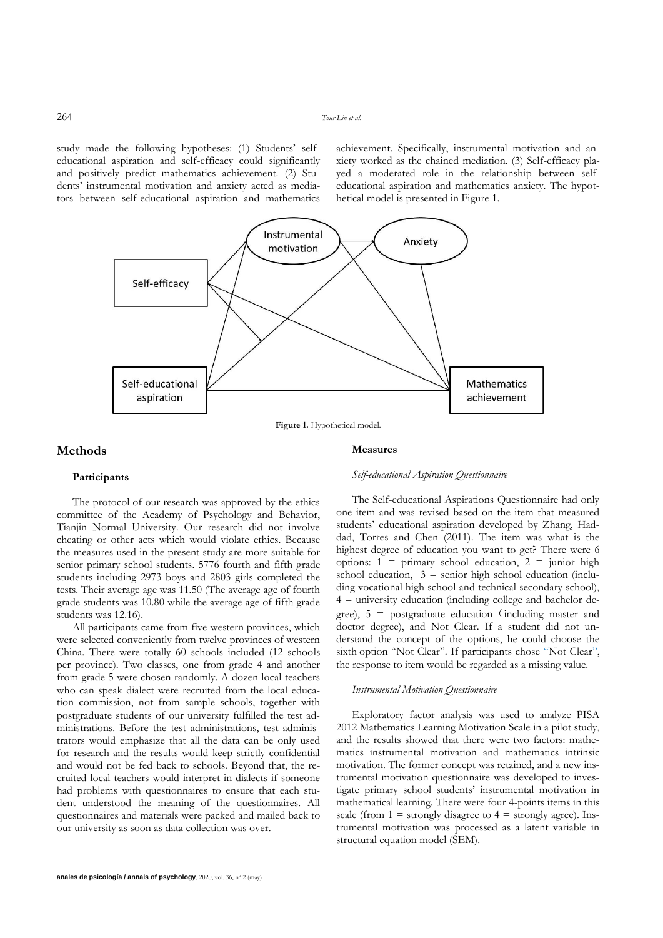study made the following hypotheses: (1) Students' selfeducational aspiration and self-efficacy could significantly and positively predict mathematics achievement. (2) Students' instrumental motivation and anxiety acted as mediators between self-educational aspiration and mathematics achievement. Specifically, instrumental motivation and anxiety worked as the chained mediation. (3) Self-efficacy played a moderated role in the relationship between selfeducational aspiration and mathematics anxiety. The hypothetical model is presented in Figure 1.



**Figure 1.** Hypothetical model.

# **Methods**

#### **Measures**

*Self-educational Aspiration Questionnaire*

# **Participants**

The protocol of our research was approved by the ethics committee of the Academy of Psychology and Behavior, Tianjin Normal University. Our research did not involve cheating or other acts which would violate ethics. Because the measures used in the present study are more suitable for senior primary school students. 5776 fourth and fifth grade students including 2973 boys and 2803 girls completed the tests. Their average age was 11.50 (The average age of fourth grade students was 10.80 while the average age of fifth grade students was 12.16).

All participants came from five western provinces, which were selected conveniently from twelve provinces of western China. There were totally 60 schools included (12 schools per province). Two classes, one from grade 4 and another from grade 5 were chosen randomly. A dozen local teachers who can speak dialect were recruited from the local education commission, not from sample schools, together with postgraduate students of our university fulfilled the test administrations. Before the test administrations, test administrators would emphasize that all the data can be only used for research and the results would keep strictly confidential and would not be fed back to schools. Beyond that, the recruited local teachers would interpret in dialects if someone had problems with questionnaires to ensure that each student understood the meaning of the questionnaires. All questionnaires and materials were packed and mailed back to our university as soon as data collection was over.

The Self-educational Aspirations Questionnaire had only one item and was revised based on the item that measured students' educational aspiration developed by Zhang, Haddad, Torres and Chen (2011). The item was what is the highest degree of education you want to get? There were 6 options:  $1 = \text{primary school education}, 2 = \text{junior high}$ school education,  $3 =$  senior high school education (including vocational high school and technical secondary school),  $4 \equiv$  university education (including college and bachelor degree),  $5 =$  postgraduate education (including master and doctor degree), and Not Clear. If a student did not understand the concept of the options, he could choose the sixth option "Not Clear". If participants chose "Not Clear", the response to item would be regarded as a missing value.

# *Instrumental Motivation Questionnaire*

Exploratory factor analysis was used to analyze PISA 2012 Mathematics Learning Motivation Scale in a pilot study, and the results showed that there were two factors: mathematics instrumental motivation and mathematics intrinsic motivation. The former concept was retained, and a new instrumental motivation questionnaire was developed to investigate primary school students' instrumental motivation in mathematical learning. There were four 4-points items in this scale (from  $1 =$  strongly disagree to  $4 =$  strongly agree). Instrumental motivation was processed as a latent variable in structural equation model (SEM).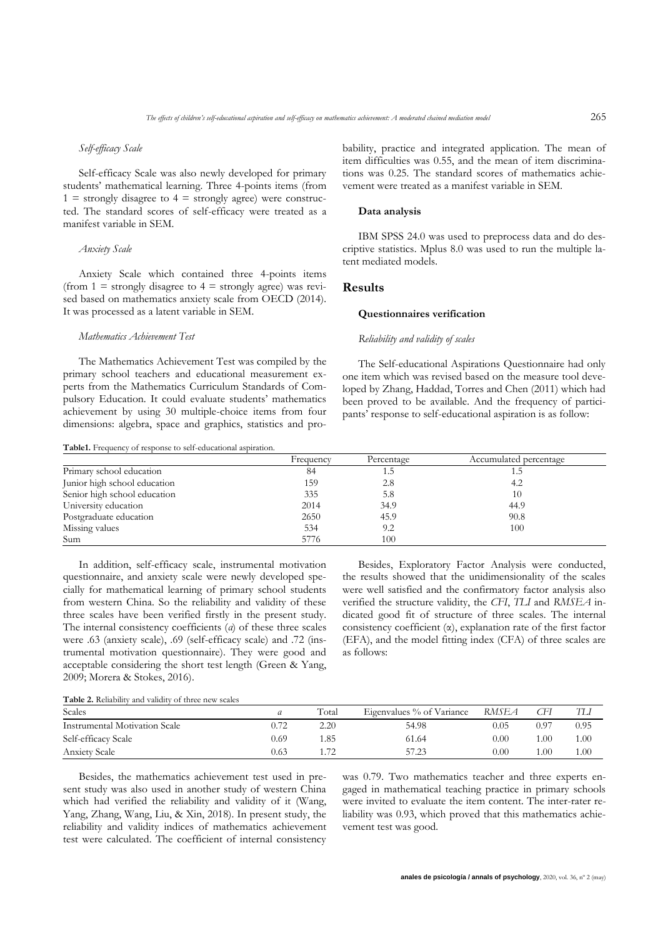#### *Self-efficacy Scale*

Self-efficacy Scale was also newly developed for primary students' mathematical learning. Three 4-points items (from  $1 =$  strongly disagree to  $4 =$  strongly agree) were constructed. The standard scores of self-efficacy were treated as a manifest variable in SEM.

#### *Anxiety Scale*

Anxiety Scale which contained three 4-points items (from  $1 =$  strongly disagree to  $4 =$  strongly agree) was revised based on mathematics anxiety scale from OECD (2014). It was processed as a latent variable in SEM.

#### *Mathematics Achievement Test*

The Mathematics Achievement Test was compiled by the primary school teachers and educational measurement experts from the Mathematics Curriculum Standards of Compulsory Education. It could evaluate students' mathematics achievement by using 30 multiple-choice items from four dimensions: algebra, space and graphics, statistics and pro-

**Table1.** Frequency of response to self-educational aspiration.

bability, practice and integrated application. The mean of item difficulties was 0.55, and the mean of item discriminations was 0.25. The standard scores of mathematics achievement were treated as a manifest variable in SEM.

#### **Data analysis**

IBM SPSS 24.0 was used to preprocess data and do descriptive statistics. Mplus 8.0 was used to run the multiple latent mediated models.

# **Results**

### **Questionnaires verification**

### *Reliability and validity of scales*

The Self-educational Aspirations Questionnaire had only one item which was revised based on the measure tool developed by Zhang, Haddad, Torres and Chen (2011) which had been proved to be available. And the frequency of participants' response to self-educational aspiration is as follow:

| <b>Table1.</b> Trequency of response to sen-equeational asphation. | Frequency | Percentage | Accumulated percentage |
|--------------------------------------------------------------------|-----------|------------|------------------------|
| Primary school education                                           | 84        | L.J        |                        |
| Junior high school education                                       | 159       | 2.8        | 4.2                    |
| Senior high school education                                       | 335       | 5.8        | 10                     |
| University education                                               | 2014      | 34.9       | 44.9                   |
| Postgraduate education                                             | 2650      | 45.9       | 90.8                   |
| Missing values                                                     | 534       | 9.2        | 100                    |
| Sum                                                                | 5776      | 100        |                        |

In addition, self-efficacy scale, instrumental motivation questionnaire, and anxiety scale were newly developed specially for mathematical learning of primary school students from western China. So the reliability and validity of these three scales have been verified firstly in the present study. The internal consistency coefficients (*α*) of these three scales were .63 (anxiety scale), .69 (self-efficacy scale) and .72 (instrumental motivation questionnaire). They were good and acceptable considering the short test length (Green & Yang, 2009; Morera & Stokes, 2016).

Besides, Exploratory Factor Analysis were conducted, the results showed that the unidimensionality of the scales were well satisfied and the confirmatory factor analysis also verified the structure validity, the *CFI*, *TLI* and *RMSEA* indicated good fit of structure of three scales. The internal consistency coefficient (α), explanation rate of the first factor (EFA), and the model fitting index (CFA) of three scales are as follows:

**Table 2.** Reliability and validity of three new scales

| Scales                        | а    | Total | Eigenvalues % of Variance | RMSEA    | СFI  | TЫ   |
|-------------------------------|------|-------|---------------------------|----------|------|------|
| Instrumental Motivation Scale | 0.72 | 2.20  | 54.98                     | 0.05     | 0.97 | 0.95 |
| Self-efficacy Scale           | 0.69 | . 85  | 61.64                     | $0.00\,$ | .00  | 1.00 |
| <b>Anxiety Scale</b>          | 0.63 |       | 57.23                     | 0.00     | .00  | 1.00 |

Besides, the mathematics achievement test used in present study was also used in another study of western China which had verified the reliability and validity of it (Wang, Yang, Zhang, Wang, Liu, & Xin, 2018). In present study, the reliability and validity indices of mathematics achievement test were calculated. The coefficient of internal consistency

was 0.79. Two mathematics teacher and three experts engaged in mathematical teaching practice in primary schools were invited to evaluate the item content. The inter-rater reliability was 0.93, which proved that this mathematics achievement test was good.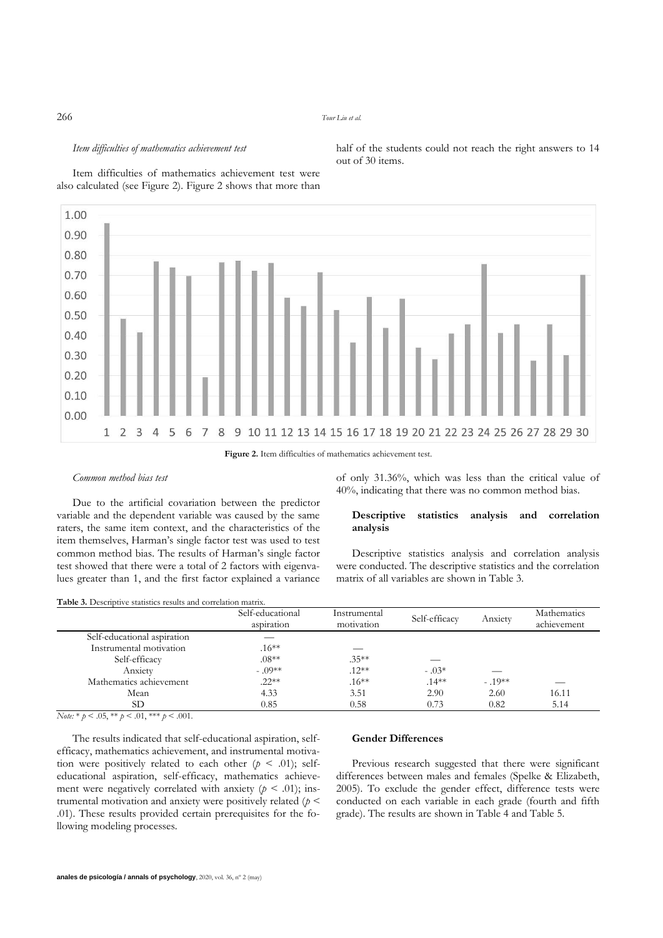#### 266 *Tour Liu et al.*

out of 30 items.

#### *Item difficulties of mathematics achievement test*

Item difficulties of mathematics achievement test were also calculated (see Figure 2). Figure 2 shows that more than

> of only 31.36%, which was less than the critical value of 40%, indicating that there was no common method bias.

> half of the students could not reach the right answers to 14

### **Descriptive statistics analysis and correlation analysis**

Descriptive statistics analysis and correlation analysis were conducted. The descriptive statistics and the correlation matrix of all variables are shown in Table 3.

**Table 3.** Descriptive statistics results and correlation matrix.

Due to the artificial covariation between the predictor variable and the dependent variable was caused by the same raters, the same item context, and the characteristics of the item themselves, Harman's single factor test was used to test common method bias. The results of Harman's single factor test showed that there were a total of 2 factors with eigenvalues greater than 1, and the first factor explained a variance

|                             | Self-educational<br>aspiration | Instrumental<br>motivation | Self-efficacy | Anxiety  | Mathematics<br>achievement |
|-----------------------------|--------------------------------|----------------------------|---------------|----------|----------------------------|
| Self-educational aspiration |                                |                            |               |          |                            |
| Instrumental motivation     | $.16**$                        |                            |               |          |                            |
| Self-efficacy               | $.08**$                        | $.35***$                   |               |          |                            |
| Anxiety                     | $-.09**$                       | $.12**$                    | $-.03*$       |          |                            |
| Mathematics achievement     | $.22**$                        | $.16**$                    | $.14***$      | $-.19**$ |                            |
| Mean                        | 4.33                           | 3.51                       | 2.90          | 2.60     | 16.11                      |
| SD                          | 0.85                           | 0.58                       | 0.73          | 0.82     | 5.14                       |

 $Note: * p < .05, ** p < .01, ** p < .001.$ 

*Common method bias test*

The results indicated that self-educational aspiration, selfefficacy, mathematics achievement, and instrumental motivation were positively related to each other  $(p \le 0.01)$ ; selfeducational aspiration, self-efficacy, mathematics achievement were negatively correlated with anxiety  $(p < .01)$ ; instrumental motivation and anxiety were positively related (*p* < .01). These results provided certain prerequisites for the following modeling processes.

### **Gender Differences**

Previous research suggested that there were significant differences between males and females (Spelke & Elizabeth, 2005). To exclude the gender effect, difference tests were conducted on each variable in each grade (fourth and fifth grade). The results are shown in Table 4 and Table 5.

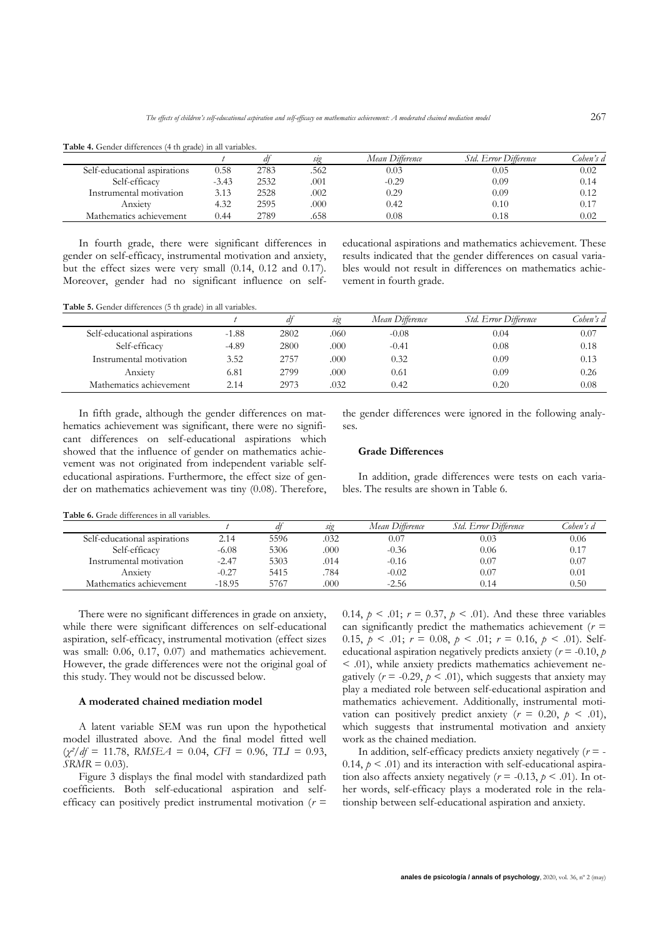| <b>4.</b> Gender differences (4 th grade) in all variables. |         |      |      |                 |                       |           |
|-------------------------------------------------------------|---------|------|------|-----------------|-----------------------|-----------|
|                                                             |         |      | ste  | Mean Difference | Std. Error Difference | Cohen's d |
| Self-educational aspirations                                | 0.58    | 2783 | 562  | 0.03            | 0.05                  | 0.02      |
| Self-efficacy                                               | $-3.43$ | 2532 | .001 | $-0.29$         | 0.09                  | 0.14      |
| Instrumental motivation                                     | 3.13    | 2528 | .002 | 0.29            | 0.09                  | 0.12      |
| Anxiety                                                     | 4.32    | 2595 | .000 | 0.42            | 0.10                  | 0.17      |
| Mathematics achievement                                     | 0.44    | 2789 | .658 | $_{0.08}$       | 0.18                  | 0.02      |

**Table 4.** Gender differences (4 th grade) in all variables.

In fourth grade, there were significant differences in gender on self-efficacy, instrumental motivation and anxiety, but the effect sizes were very small (0.14, 0.12 and 0.17). Moreover, gender had no significant influence on selfeducational aspirations and mathematics achievement. These results indicated that the gender differences on casual variables would not result in differences on mathematics achievement in fourth grade.

**Table 5.** Gender differences (5 th grade) in all variables.

|                              |         |      | sıg  | Mean Difference | Std. Error Difference | Cohen's d |
|------------------------------|---------|------|------|-----------------|-----------------------|-----------|
| Self-educational aspirations | $-1.88$ | 2802 | .060 | $-0.08$         | 0.04                  | 0.07      |
| Self-efficacy                | $-4.89$ | 2800 | .000 | $-0.41$         | 0.08                  | 0.18      |
| Instrumental motivation      | 3.52    | 2757 | .000 | 0.32            | 0.09                  | 0.13      |
| Anxiety                      | 6.81    | 2799 | .000 | 0.61            | 0.09                  | 0.26      |
| Mathematics achievement      | 2.14    | 2973 | .032 | 0.42            | 0.20                  | 0.08      |

In fifth grade, although the gender differences on mathematics achievement was significant, there were no significant differences on self-educational aspirations which showed that the influence of gender on mathematics achievement was not originated from independent variable selfeducational aspirations. Furthermore, the effect size of gender on mathematics achievement was tiny (0.08). Therefore, the gender differences were ignored in the following analyses.

# **Grade Differences**

In addition, grade differences were tests on each variables. The results are shown in Table 6.

**Table 6.** Grade differences in all variables.

|                              |          |      | sto  | Mean Difference | <i>Std. Error Difference</i> | Cohen's d |
|------------------------------|----------|------|------|-----------------|------------------------------|-----------|
| Self-educational aspirations | 2.14     | 5596 | .032 | 0.07            | 0.03                         | 0.06      |
| Self-efficacy                | $-6.08$  | 5306 | .000 | $-0.36$         | 0.06                         | 0.17      |
| Instrumental motivation      | $-2.47$  | 5303 | .014 | $-0.16$         | 0.07                         | 0.07      |
| Anxietv                      | $-0.27$  | 5415 | 784  | $-0.02$         | 0.07                         | 0.01      |
| Mathematics achievement      | $-18.95$ | 5767 | .000 | $-2.56$         | 0.14                         | 0.50      |

There were no significant differences in grade on anxiety, while there were significant differences on self-educational aspiration, self-efficacy, instrumental motivation (effect sizes was small: 0.06, 0.17, 0.07) and mathematics achievement. However, the grade differences were not the original goal of this study. They would not be discussed below.

# **A moderated chained mediation model**

A latent variable SEM was run upon the hypothetical model illustrated above. And the final model fitted well  $(\chi^2/df = 11.78, RMSEA = 0.04, CFI = 0.96, TLI = 0.93,$  $SRMR = 0.03$ .

Figure 3 displays the final model with standardized path coefficients. Both self-educational aspiration and selfefficacy can positively predict instrumental motivation (*r* =

0.14,  $p < .01$ ;  $r = 0.37$ ,  $p < .01$ ). And these three variables can significantly predict the mathematics achievement (*r* = 0.15,  $p < .01$ ;  $r = 0.08$ ,  $p < .01$ ;  $r = 0.16$ ,  $p < .01$ ). Selfeducational aspiration negatively predicts anxiety ( $r = -0.10$ ,  $p$ ) < .01), while anxiety predicts mathematics achievement negatively  $(r = -0.29, p < .01)$ , which suggests that anxiety may play a mediated role between self-educational aspiration and mathematics achievement. Additionally, instrumental motivation can positively predict anxiety  $(r = 0.20, p < .01)$ , which suggests that instrumental motivation and anxiety work as the chained mediation.

In addition, self-efficacy predicts anxiety negatively  $(r = -1)$ 0.14,  $p \leq 0.01$ ) and its interaction with self-educational aspiration also affects anxiety negatively ( $r = -0.13$ ,  $p < .01$ ). In other words, self-efficacy plays a moderated role in the relationship between self-educational aspiration and anxiety.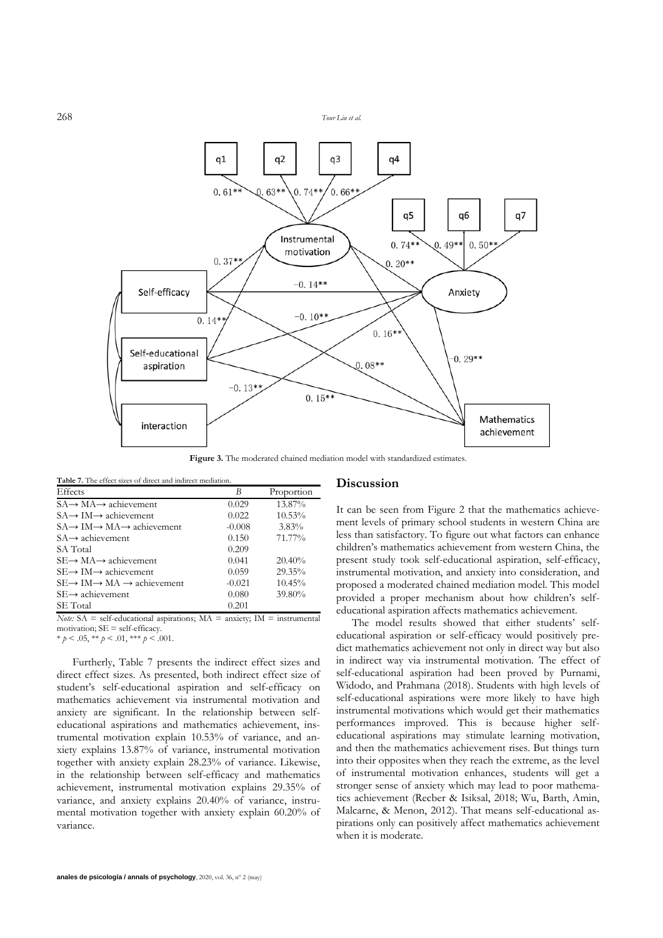268 *Tour Liu et al.*



Figure 3. The moderated chained mediation model with standardized estimates.

| <b>Table 7.</b> The effect sizes of direct and indirect mediation. |          |            |  |  |  |  |  |
|--------------------------------------------------------------------|----------|------------|--|--|--|--|--|
| Effects                                                            | B        | Proportion |  |  |  |  |  |
| $SA \rightarrow MA \rightarrow$ achievement                        | 0.029    | 13.87%     |  |  |  |  |  |
| $SA \rightarrow IM \rightarrow$ achievement                        | 0.022    | 10.53%     |  |  |  |  |  |
| $SA \rightarrow IM \rightarrow MA \rightarrow$ achievement         | $-0.008$ | $3.83\%$   |  |  |  |  |  |
| $SA \rightarrow$ achievement                                       | 0.150    | 71.77%     |  |  |  |  |  |
| SA Total                                                           | 0.209    |            |  |  |  |  |  |
| $SE \rightarrow MA \rightarrow$ achievement                        | 0.041    | $20.40\%$  |  |  |  |  |  |
| $SE \rightarrow IM \rightarrow$ achievement                        | 0.059    | 29.35%     |  |  |  |  |  |
| $SE \rightarrow IM \rightarrow MA \rightarrow$ achievement         | $-0.021$ | 10.45%     |  |  |  |  |  |
| $SE \rightarrow$ achievement                                       | 0.080    | 39.80%     |  |  |  |  |  |
| SE Total                                                           | 0.201    |            |  |  |  |  |  |

*Note:* SA = self-educational aspirations; MA = anxiety; IM = instrumental motivation; SE = self-efficacy.

 $* p < .05, ** p < .01, ** p < .001.$ 

Furtherly, Table 7 presents the indirect effect sizes and direct effect sizes. As presented, both indirect effect size of student's self-educational aspiration and self-efficacy on mathematics achievement via instrumental motivation and anxiety are significant. In the relationship between selfeducational aspirations and mathematics achievement, instrumental motivation explain 10.53% of variance, and anxiety explains 13.87% of variance, instrumental motivation together with anxiety explain 28.23% of variance. Likewise, in the relationship between self-efficacy and mathematics achievement, instrumental motivation explains 29.35% of variance, and anxiety explains 20.40% of variance, instrumental motivation together with anxiety explain 60.20% of variance.

#### **Discussion**

It can be seen from Figure 2 that the mathematics achievement levels of primary school students in western China are less than satisfactory. To figure out what factors can enhance children's mathematics achievement from western China, the present study took self-educational aspiration, self-efficacy, instrumental motivation, and anxiety into consideration, and proposed a moderated chained mediation model. This model provided a proper mechanism about how children's selfeducational aspiration affects mathematics achievement.

The model results showed that either students' selfeducational aspiration or self-efficacy would positively predict mathematics achievement not only in direct way but also in indirect way via instrumental motivation. The effect of self-educational aspiration had been proved by Purnami, Widodo, and Prahmana (2018). Students with high levels of self-educational aspirations were more likely to have high instrumental motivations which would get their mathematics performances improved. This is because higher selfeducational aspirations may stimulate learning motivation, and then the mathematics achievement rises. But things turn into their opposites when they reach the extreme, as the level of instrumental motivation enhances, students will get a stronger sense of anxiety which may lead to poor mathematics achievement (Recber & Isiksal, 2018; Wu, Barth, Amin, Malcarne, & Menon, 2012). That means self-educational aspirations only can positively affect mathematics achievement when it is moderate.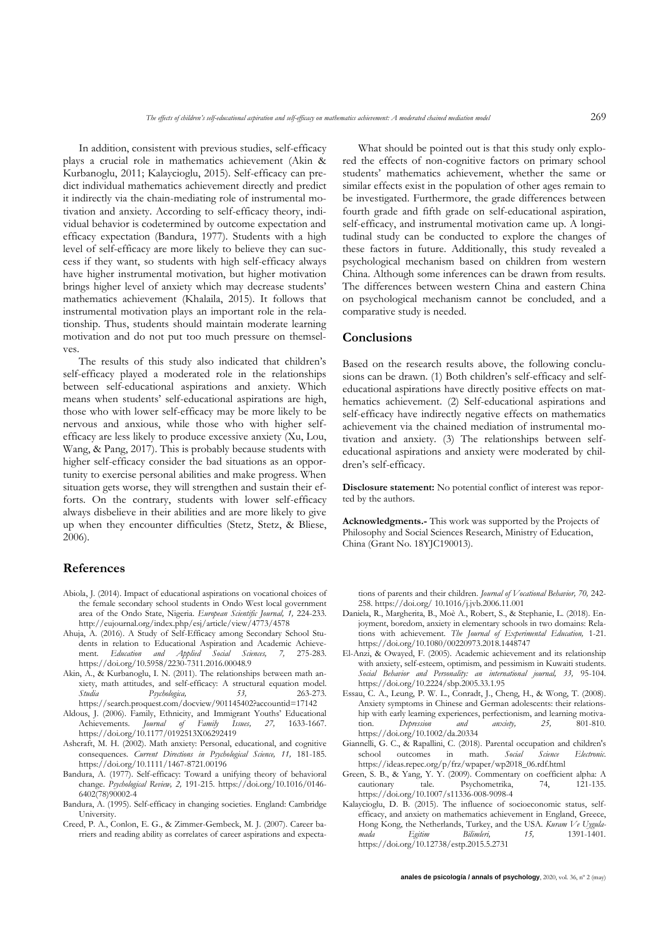In addition, consistent with previous studies, self-efficacy plays a crucial role in mathematics achievement (Akin & Kurbanoglu, 2011; Kalaycioglu, 2015). Self-efficacy can predict individual mathematics achievement directly and predict it indirectly via the chain-mediating role of instrumental motivation and anxiety. According to self-efficacy theory, individual behavior is codetermined by outcome expectation and efficacy expectation (Bandura, 1977). Students with a high level of self-efficacy are more likely to believe they can success if they want, so students with high self-efficacy always have higher instrumental motivation, but higher motivation brings higher level of anxiety which may decrease students' mathematics achievement (Khalaila, 2015). It follows that instrumental motivation plays an important role in the relationship. Thus, students should maintain moderate learning motivation and do not put too much pressure on themselves.

The results of this study also indicated that children's self-efficacy played a moderated role in the relationships between self-educational aspirations and anxiety. Which means when students' self-educational aspirations are high, those who with lower self-efficacy may be more likely to be nervous and anxious, while those who with higher selfefficacy are less likely to produce excessive anxiety (Xu, Lou, Wang, & Pang, 2017). This is probably because students with higher self-efficacy consider the bad situations as an opportunity to exercise personal abilities and make progress. When situation gets worse, they will strengthen and sustain their efforts. On the contrary, students with lower self-efficacy always disbelieve in their abilities and are more likely to give up when they encounter difficulties (Stetz, Stetz, & Bliese, 2006).

# **References**

- Abiola, J. (2014). Impact of educational aspirations on vocational choices of the female secondary school students in Ondo West local government area of the Ondo State, Nigeria. *European Scientific Journal, 1,* 224-233. http://eujournal.org/index.php/esj/article/view/4773/4578
- Ahuja, A. (2016). A Study of Self-Efficacy among Secondary School Students in relation to Educational Aspiration and Academic Achievement. *Education and Applied Social Sciences, 7,* 275-283. https://doi.org/10.5958/2230-7311.2016.00048.9
- Akin, A., & Kurbanoglu, I. N. (2011). The relationships between math anxiety, math attitudes, and self-efficacy: A structural equation model. *Studia Psychologica, 53,* 263-273. https://search.proquest.com/docview/901145402?accountid=17142
- Aldous, J. (2006). Family, Ethnicity, and Immigrant Youths' Educational Achievements. *Journal of Family Issues, 27,* 1633-1667. https://doi.org/10.1177/0192513X06292419
- Ashcraft, M. H. (2002). Math anxiety: Personal, educational, and cognitive consequences. *Current Directions in Psychological Science, 11,* 181-185. https://doi.org/10.1111/1467-8721.00196
- Bandura, A. (1977). Self-efficacy: Toward a unifying theory of behavioral change. *Psychological Review, 2,* 191-215. https://doi.org/10.1016/0146- 6402(78)90002-4
- Bandura, A. (1995). Self-efficacy in changing societies. England: Cambridge University.
- Creed, P. A., Conlon, E. G., & Zimmer-Gembeck, M. J. (2007). Career barriers and reading ability as correlates of career aspirations and expecta-

What should be pointed out is that this study only explored the effects of non-cognitive factors on primary school students' mathematics achievement, whether the same or similar effects exist in the population of other ages remain to be investigated. Furthermore, the grade differences between fourth grade and fifth grade on self-educational aspiration, self-efficacy, and instrumental motivation came up. A longitudinal study can be conducted to explore the changes of these factors in future. Additionally, this study revealed a psychological mechanism based on children from western China. Although some inferences can be drawn from results. The differences between western China and eastern China on psychological mechanism cannot be concluded, and a comparative study is needed.

# **Conclusions**

Based on the research results above, the following conclusions can be drawn. (1) Both children's self-efficacy and selfeducational aspirations have directly positive effects on mathematics achievement. (2) Self-educational aspirations and self-efficacy have indirectly negative effects on mathematics achievement via the chained mediation of instrumental motivation and anxiety. (3) The relationships between selfeducational aspirations and anxiety were moderated by children's self-efficacy.

**Disclosure statement:** No potential conflict of interest was reported by the authors.

**Acknowledgments.-** This work was supported by the Projects of Philosophy and Social Sciences Research, Ministry of Education, China (Grant No. 18YJC190013).

tions of parents and their children. *Journal of Vocational Behavior, 70,* 242- 258. https://doi.org/ 10.1016/j.jvb.2006.11.001

- Daniela, R., Margherita, B., Moè A., Robert, S., & Stephanie, L. (2018). Enjoyment, boredom, anxiety in elementary schools in two domains: Relations with achievement. *The Journal of Experimental Education,* 1-21. https://doi.org/10.1080/00220973.2018.1448747
- El-Anzi, & Owayed, F. (2005). Academic achievement and its relationship with anxiety, self-esteem, optimism, and pessimism in Kuwaiti students. *Social Behavior and Personality: an international journal, 33,* 95-104. https://doi.org/10.2224/sbp.2005.33.1.95
- Essau, C. A., Leung, P. W. L., Conradt, J., Cheng, H., & Wong, T. (2008). Anxiety symptoms in Chinese and German adolescents: their relationship with early learning experiences, perfectionism, and learning motiva-<br>tion. *Depression and anxiety*, 25, 801-810. tion. *Depression and anxiety, 25,* 801-810. https://doi.org/10.1002/da.20334
- Giannelli, G. C., & Rapallini, C. (2018). Parental occupation and children's school outcomes in math. *Social Science Electronic.* https://ideas.repec.org/p/frz/wpaper/wp2018\_06.rdf.html
- Green, S. B., & Yang, Y. Y. (2009). Commentary on coefficient alpha: A cautionary tale. Psychometrika, 74, 121-135. https://doi.org/10.1007/s11336-008-9098-4
- Kalaycioglu, D. B. (2015). The influence of socioeconomic status, selfefficacy, and anxiety on mathematics achievement in England, Greece, Hong Kong, the Netherlands, Turkey, and the USA. *Kuram Ve Uygulamada Egitim Bilimleri, 15,* 1391-1401. https://doi.org/10.12738/estp.2015.5.2731